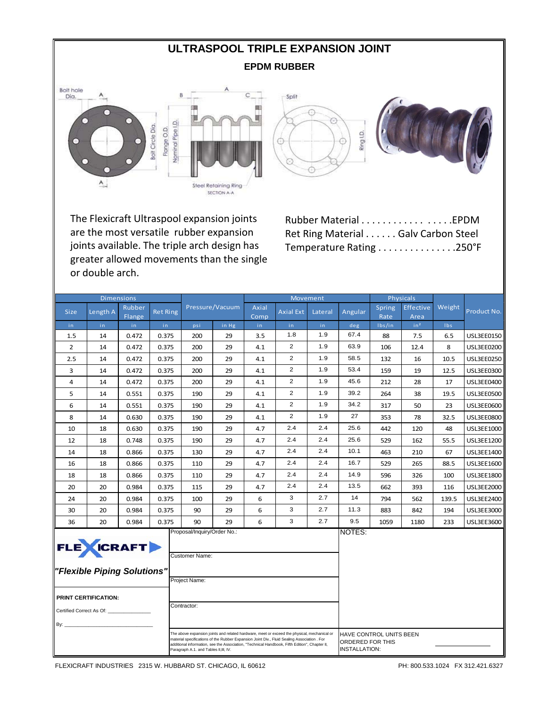### **ULTRASPOOL TRIPLE EXPANSION JOINT EPDM RUBBER**





The Flexicraft Ultraspool expansion joints are the most versatile rubber expansion joints available. The triple arch design has greater allowed movements than the single or double arch.

Rubber Material . . . . . . . . . . . . . . . . .EPDM Ret Ring Material . . . . . . Galv Carbon Steel Temperature Rating . . . . . . . . . . . . . . .250°F

|                                                                                                                                                                                                                                                                                                                                       | <b>Dimensions</b>                                                         |                  |                 |                                                                                      |                 |               |                  | Movement |                                          |                         | Physicals         |            |                   |
|---------------------------------------------------------------------------------------------------------------------------------------------------------------------------------------------------------------------------------------------------------------------------------------------------------------------------------------|---------------------------------------------------------------------------|------------------|-----------------|--------------------------------------------------------------------------------------|-----------------|---------------|------------------|----------|------------------------------------------|-------------------------|-------------------|------------|-------------------|
| <b>Size</b>                                                                                                                                                                                                                                                                                                                           | Length A                                                                  | Rubber<br>Flange | <b>Ret Ring</b> |                                                                                      | Pressure/Vacuum | Axial<br>Comp | <b>Axial Ext</b> | Lateral  | Angular                                  | Spring<br>Rate          | Effective<br>Area | Weight     | Product No.       |
| in.                                                                                                                                                                                                                                                                                                                                   | in.                                                                       | in.              | in.             | psi                                                                                  | in Hg           | in.           | in.              | in.      | deg                                      | lbs/in                  | in <sup>2</sup>   | <b>Ibs</b> |                   |
| 1.5                                                                                                                                                                                                                                                                                                                                   | 14                                                                        | 0.472            | 0.375           | 200                                                                                  | 29              | 3.5           | 1.8              | 1.9      | 67.4                                     | 88                      | 7.5               | 6.5        | <b>USL3EE0150</b> |
| $\overline{2}$                                                                                                                                                                                                                                                                                                                        | 14                                                                        | 0.472            | 0.375           | 200                                                                                  | 29              | 4.1           | 2                | 1.9      | 63.9                                     | 106                     | 12.4              | 8          | <b>USL3EE0200</b> |
| 2.5                                                                                                                                                                                                                                                                                                                                   | 14                                                                        | 0.472            | 0.375           | 200                                                                                  | 29              | 4.1           | $\overline{2}$   | 1.9      | 58.5                                     | 132                     | 16                | 10.5       | <b>USL3EE0250</b> |
| 3                                                                                                                                                                                                                                                                                                                                     | 14                                                                        | 0.472            | 0.375           | 200                                                                                  | 29              | 4.1           | 2                | 1.9      | 53.4                                     | 159                     | 19                | 12.5       | <b>USL3EE0300</b> |
| 4                                                                                                                                                                                                                                                                                                                                     | 14                                                                        | 0.472            | 0.375           | 200                                                                                  | 29              | 4.1           | $\overline{2}$   | 1.9      | 45.6                                     | 212                     | 28                | 17         | USL3EE0400        |
| 5                                                                                                                                                                                                                                                                                                                                     | 14                                                                        | 0.551            | 0.375           | 190                                                                                  | 29              | 4.1           | 2                | 1.9      | 39.2                                     | 264                     | 38                | 19.5       | <b>USL3EE0500</b> |
| 6                                                                                                                                                                                                                                                                                                                                     | 14                                                                        | 0.551            | 0.375           | 190                                                                                  | 29              | 4.1           | $\overline{2}$   | 1.9      | 34.2                                     | 317                     | 50                | 23         | <b>USL3EE0600</b> |
| 8                                                                                                                                                                                                                                                                                                                                     | 14                                                                        | 0.630            | 0.375           | 190                                                                                  | 29              | 4.1           | $\overline{2}$   | 1.9      | 27                                       | 353                     | 78                | 32.5       | <b>USL3EE0800</b> |
| 10                                                                                                                                                                                                                                                                                                                                    | 18                                                                        | 0.630            | 0.375           | 190                                                                                  | 29              | 4.7           | 2.4              | 2.4      | 25.6                                     | 442                     | 120               | 48         | USL3EE1000        |
| 12                                                                                                                                                                                                                                                                                                                                    | 18                                                                        | 0.748            | 0.375           | 190                                                                                  | 29              | 4.7           | 2.4              | 2.4      | 25.6                                     | 529                     | 162               | 55.5       | <b>USL3EE1200</b> |
| 14                                                                                                                                                                                                                                                                                                                                    | 18                                                                        | 0.866            | 0.375           | 130                                                                                  | 29              | 4.7           | 2.4              | 2.4      | 10.1                                     | 463                     | 210               | 67         | USL3EE1400        |
| 16                                                                                                                                                                                                                                                                                                                                    | 18                                                                        | 0.866            | 0.375           | 110                                                                                  | 29              | 4.7           | 2.4              | 2.4      | 16.7                                     | 529                     | 265               | 88.5       | <b>USL3EE1600</b> |
| 18                                                                                                                                                                                                                                                                                                                                    | 18                                                                        | 0.866            | 0.375           | 110                                                                                  | 29              | 4.7           | 2.4              | 2.4      | 14.9                                     | 596                     | 326               | 100        | <b>USL3EE1800</b> |
| 20                                                                                                                                                                                                                                                                                                                                    | 20                                                                        | 0.984            | 0.375           | 115                                                                                  | 29              | 4.7           | 2.4              | 2.4      | 13.5                                     | 662                     | 393               | 116        | <b>USL3EE2000</b> |
| 24                                                                                                                                                                                                                                                                                                                                    | 20                                                                        | 0.984            | 0.375           | 100                                                                                  | 29              | 6             | 3                | 2.7      | 14                                       | 794                     | 562               | 139.5      | <b>USL3EE2400</b> |
| 30                                                                                                                                                                                                                                                                                                                                    | 20                                                                        | 0.984            | 0.375           | 90                                                                                   | 29              | 6             | 3                | 2.7      | 11.3                                     | 883                     | 842               | 194        | <b>USL3EE3000</b> |
| 36                                                                                                                                                                                                                                                                                                                                    | 20                                                                        | 0.984            | 0.375           | 90                                                                                   | 29              | 6             | 3                | 2.7      | 9.5                                      | 1059                    | 1180              | 233        | <b>USL3EE3600</b> |
| By: $\_$                                                                                                                                                                                                                                                                                                                              | <b>FLE</b> WICRAFT<br>"Flexible Piping Solutions"<br>PRINT CERTIFICATION: |                  |                 | Proposal/Inquiry/Order No.:<br><b>Customer Name:</b><br>Project Name:<br>Contractor: |                 |               |                  |          | NOTES:                                   |                         |                   |            |                   |
| The above expansion joints and related hardware, meet or exceed the physical, mechanical or<br>material specifications of the Rubber Expansion Joint Div., Fluid Sealing Association . For<br>additional information, see the Association, "Technical Handbook, Fifth Edition", Chapter II,<br>Paragraph A.1. and Tables II, III, IV. |                                                                           |                  |                 |                                                                                      |                 |               |                  |          | ORDERED FOR THIS<br><b>INSTALLATION:</b> | HAVE CONTROL UNITS BEEN |                   |            |                   |

FLEXICRAFT INDUSTRIES 2315 W. HUBBARD ST. CHICAGO, IL 60612 PH: 800.533.1024 FX 312.421.6327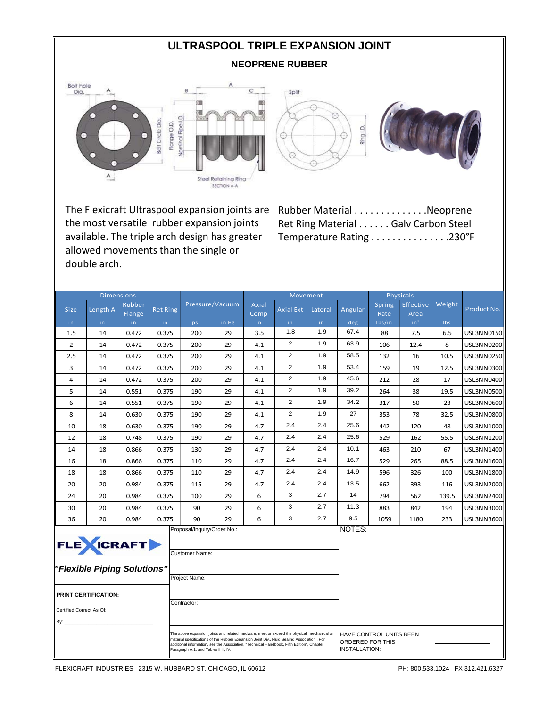# **ULTRASPOOL TRIPLE EXPANSION JOINT**

### **NEOPRENE RUBBER**







The Flexicraft Ultraspool expansion joints are Rubber Material . . . . . . . . . . . . . .Neoprene the most versatile rubber expansion joints available. The triple arch design has greater allowed movements than the single or double arch.

Ret Ring Material . . . . . . Galv Carbon Steel Temperature Rating . . . . . . . . . . . . . . .230°F

|                                                                                                                                                                                                                                                                                                                                       | <b>Dimensions</b> |                  |                 |     |                 |               |                  | Movement |                                          |                         | Physicals         |            |                   |
|---------------------------------------------------------------------------------------------------------------------------------------------------------------------------------------------------------------------------------------------------------------------------------------------------------------------------------------|-------------------|------------------|-----------------|-----|-----------------|---------------|------------------|----------|------------------------------------------|-------------------------|-------------------|------------|-------------------|
| <b>Size</b>                                                                                                                                                                                                                                                                                                                           | Length A          | Rubber<br>Flange | <b>Ret Ring</b> |     | Pressure/Vacuum | Axial<br>Comp | <b>Axial Ext</b> | Lateral  | Angular                                  | Spring<br>Rate          | Effective<br>Area | Weight     | Product No.       |
| in                                                                                                                                                                                                                                                                                                                                    | in.               | in.              | in              | psi | in Hg           | in            | in.              | in.      | deg                                      | Ibs/in                  | in <sup>2</sup>   | <b>Ibs</b> |                   |
| 1.5                                                                                                                                                                                                                                                                                                                                   | 14                | 0.472            | 0.375           | 200 | 29              | 3.5           | 1.8              | 1.9      | 67.4                                     | 88                      | 7.5               | 6.5        | USL3NN0150        |
| $\overline{2}$                                                                                                                                                                                                                                                                                                                        | 14                | 0.472            | 0.375           | 200 | 29              | 4.1           | $\overline{2}$   | 1.9      | 63.9                                     | 106                     | 12.4              | 8          | <b>USL3NN0200</b> |
| 2.5                                                                                                                                                                                                                                                                                                                                   | 14                | 0.472            | 0.375           | 200 | 29              | 4.1           | $\overline{2}$   | 1.9      | 58.5                                     | 132                     | 16                | 10.5       | USL3NN0250        |
| 3                                                                                                                                                                                                                                                                                                                                     | 14                | 0.472            | 0.375           | 200 | 29              | 4.1           | $\overline{2}$   | 1.9      | 53.4                                     | 159                     | 19                | 12.5       | <b>USL3NN0300</b> |
| 4                                                                                                                                                                                                                                                                                                                                     | 14                | 0.472            | 0.375           | 200 | 29              | 4.1           | $\overline{2}$   | 1.9      | 45.6                                     | 212                     | 28                | 17         | USL3NN0400        |
| 5                                                                                                                                                                                                                                                                                                                                     | 14                | 0.551            | 0.375           | 190 | 29              | 4.1           | $\overline{2}$   | 1.9      | 39.2                                     | 264                     | 38                | 19.5       | <b>USL3NN0500</b> |
| 6                                                                                                                                                                                                                                                                                                                                     | 14                | 0.551            | 0.375           | 190 | 29              | 4.1           | $\overline{2}$   | 1.9      | 34.2                                     | 317                     | 50                | 23         | USL3NN0600        |
| 8                                                                                                                                                                                                                                                                                                                                     | 14                | 0.630            | 0.375           | 190 | 29              | 4.1           | $\overline{2}$   | 1.9      | 27                                       | 353                     | 78                | 32.5       | <b>USL3NN0800</b> |
| 10                                                                                                                                                                                                                                                                                                                                    | 18                | 0.630            | 0.375           | 190 | 29              | 4.7           | 2.4              | 2.4      | 25.6                                     | 442                     | 120               | 48         | USL3NN1000        |
| 12                                                                                                                                                                                                                                                                                                                                    | 18                | 0.748            | 0.375           | 190 | 29              | 4.7           | 2.4              | 2.4      | 25.6                                     | 529                     | 162               | 55.5       | USL3NN1200        |
| 14                                                                                                                                                                                                                                                                                                                                    | 18                | 0.866            | 0.375           | 130 | 29              | 4.7           | 2.4              | 2.4      | 10.1                                     | 463                     | 210               | 67         | USL3NN1400        |
| 16                                                                                                                                                                                                                                                                                                                                    | 18                | 0.866            | 0.375           | 110 | 29              | 4.7           | 2.4              | 2.4      | 16.7                                     | 529                     | 265               | 88.5       | USL3NN1600        |
| 18                                                                                                                                                                                                                                                                                                                                    | 18                | 0.866            | 0.375           | 110 | 29              | 4.7           | 2.4              | 2.4      | 14.9                                     | 596                     | 326               | 100        | USL3NN1800        |
| 20                                                                                                                                                                                                                                                                                                                                    | 20                | 0.984            | 0.375           | 115 | 29              | 4.7           | 2.4              | 2.4      | 13.5                                     | 662                     | 393               | 116        | USL3NN2000        |
| 24                                                                                                                                                                                                                                                                                                                                    | 20                | 0.984            | 0.375           | 100 | 29              | 6             | 3                | 2.7      | 14                                       | 794                     | 562               | 139.5      | USL3NN2400        |
| 30                                                                                                                                                                                                                                                                                                                                    | 20                | 0.984            | 0.375           | 90  | 29              | 6             | 3                | 2.7      | 11.3                                     | 883                     | 842               | 194        | USL3NN3000        |
| 36                                                                                                                                                                                                                                                                                                                                    | 20                | 0.984            | 0.375           | 90  | 29              | 6             | 3                | 2.7      | 9.5                                      | 1059                    | 1180              | 233        | <b>USL3NN3600</b> |
| Proposal/Inquiry/Order No.:<br><b>FLE</b> WICRAFT<br><b>Customer Name:</b><br>"Flexible Piping Solutions"<br>Project Name:<br>PRINT CERTIFICATION:<br>Contractor:<br>Certified Correct As Of:<br>By: .                                                                                                                                |                   |                  |                 |     |                 |               |                  |          | NOTES:                                   |                         |                   |            |                   |
| The above expansion joints and related hardware, meet or exceed the physical, mechanical or<br>material specifications of the Rubber Expansion Joint Div., Fluid Sealing Association . For<br>additional information, see the Association, "Technical Handbook, Fifth Edition", Chapter II,<br>Paragraph A.1. and Tables II, III, IV. |                   |                  |                 |     |                 |               |                  |          | ORDERED FOR THIS<br><b>INSTALLATION:</b> | HAVE CONTROL UNITS BEEN |                   |            |                   |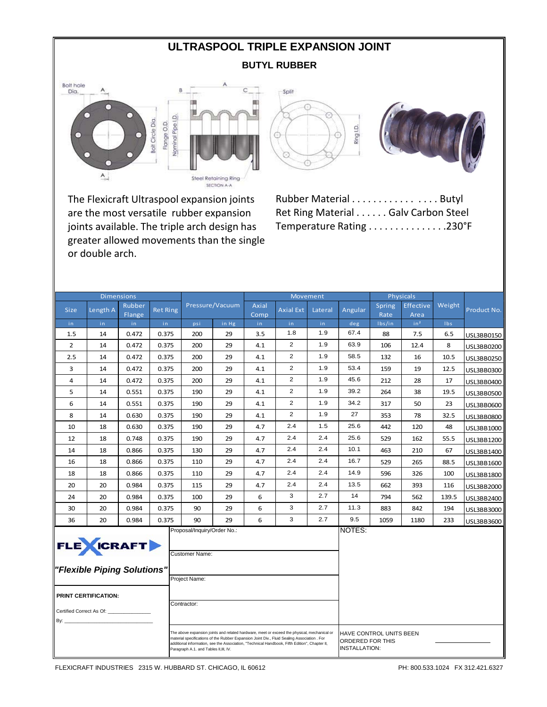# **ULTRASPOOL TRIPLE EXPANSION JOINT**

### **BUTYL RUBBER**



The Flexicraft Ultraspool expansion joints are the most versatile rubber expansion joints available. The triple arch design has greater allowed movements than the single or double arch.

|  | Ring I.D |  |
|--|----------|--|
|  |          |  |



Rubber Material . . . . . . . . . . . . . . . Butyl Ret Ring Material . . . . . . Galv Carbon Steel Temperature Rating . . . . . . . . . . . . . . .230°F

| <b>Dimensions</b>                                                                                                                                                                                                                                                                                                                     |                             |                  |                 |                             |                 | Movement      |                  |         |                                          | Physicals               |                          |        |             |
|---------------------------------------------------------------------------------------------------------------------------------------------------------------------------------------------------------------------------------------------------------------------------------------------------------------------------------------|-----------------------------|------------------|-----------------|-----------------------------|-----------------|---------------|------------------|---------|------------------------------------------|-------------------------|--------------------------|--------|-------------|
| <b>Size</b>                                                                                                                                                                                                                                                                                                                           | Length A                    | Rubber<br>Flange | <b>Ret Ring</b> |                             | Pressure/Vacuum | Axial<br>Comp | <b>Axial Ext</b> | Lateral | Angular                                  | Spring<br>Rate          | <b>Effective</b><br>Area | Weight | Product No. |
| in.                                                                                                                                                                                                                                                                                                                                   | in.                         | in.              | in.             | psi                         | in Hg           | in.           | in.              | in.     | deg                                      | Ibs/in                  | in <sup>2</sup>          | lbs    |             |
| 1.5                                                                                                                                                                                                                                                                                                                                   | 14                          | 0.472            | 0.375           | 200                         | 29              | 3.5           | 1.8              | 1.9     | 67.4                                     | 88                      | 7.5                      | 6.5    | USL3BB0150  |
| $\overline{2}$                                                                                                                                                                                                                                                                                                                        | 14                          | 0.472            | 0.375           | 200                         | 29              | 4.1           | 2                | 1.9     | 63.9                                     | 106                     | 12.4                     | 8      | USL3BB0200  |
| 2.5                                                                                                                                                                                                                                                                                                                                   | 14                          | 0.472            | 0.375           | 200                         | 29              | 4.1           | $\overline{2}$   | 1.9     | 58.5                                     | 132                     | 16                       | 10.5   | USL3BB0250  |
| 3                                                                                                                                                                                                                                                                                                                                     | 14                          | 0.472            | 0.375           | 200                         | 29              | 4.1           | 2                | 1.9     | 53.4                                     | 159                     | 19                       | 12.5   | USL3BB0300  |
| 4                                                                                                                                                                                                                                                                                                                                     | 14                          | 0.472            | 0.375           | 200                         | 29              | 4.1           | 2                | 1.9     | 45.6                                     | 212                     | 28                       | 17     | USL3BB0400  |
| 5                                                                                                                                                                                                                                                                                                                                     | 14                          | 0.551            | 0.375           | 190                         | 29              | 4.1           | $\overline{2}$   | 1.9     | 39.2                                     | 264                     | 38                       | 19.5   | USL3BB0500  |
| 6                                                                                                                                                                                                                                                                                                                                     | 14                          | 0.551            | 0.375           | 190                         | 29              | 4.1           | 2                | 1.9     | 34.2                                     | 317                     | 50                       | 23     | USL3BB0600  |
| 8                                                                                                                                                                                                                                                                                                                                     | 14                          | 0.630            | 0.375           | 190                         | 29              | 4.1           | $\overline{2}$   | 1.9     | 27                                       | 353                     | 78                       | 32.5   | USL3BB0800  |
| 10                                                                                                                                                                                                                                                                                                                                    | 18                          | 0.630            | 0.375           | 190                         | 29              | 4.7           | 2.4              | 1.5     | 25.6                                     | 442                     | 120                      | 48     | USL3BB1000  |
| 12                                                                                                                                                                                                                                                                                                                                    | 18                          | 0.748            | 0.375           | 190                         | 29              | 4.7           | 2.4              | 2.4     | 25.6                                     | 529                     | 162                      | 55.5   | USL3BB1200  |
| 14                                                                                                                                                                                                                                                                                                                                    | 18                          | 0.866            | 0.375           | 130                         | 29              | 4.7           | 2.4              | 2.4     | 10.1                                     | 463                     | 210                      | 67     | USL3BB1400  |
| 16                                                                                                                                                                                                                                                                                                                                    | 18                          | 0.866            | 0.375           | 110                         | 29              | 4.7           | 2.4              | 2.4     | 16.7                                     | 529                     | 265                      | 88.5   | USL3BB1600  |
| 18                                                                                                                                                                                                                                                                                                                                    | 18                          | 0.866            | 0.375           | 110                         | 29              | 4.7           | 2.4              | 2.4     | 14.9                                     | 596                     | 326                      | 100    | USL3BB1800  |
| 20                                                                                                                                                                                                                                                                                                                                    | 20                          | 0.984            | 0.375           | 115                         | 29              | 4.7           | 2.4              | 2.4     | 13.5                                     | 662                     | 393                      | 116    | USL3BB2000  |
| 24                                                                                                                                                                                                                                                                                                                                    | 20                          | 0.984            | 0.375           | 100                         | 29              | 6             | 3                | 2.7     | 14                                       | 794                     | 562                      | 139.5  | USL3BB2400  |
| 30                                                                                                                                                                                                                                                                                                                                    | 20                          | 0.984            | 0.375           | 90                          | 29              | 6             | 3                | 2.7     | 11.3                                     | 883                     | 842                      | 194    | USL3BB3000  |
| 36                                                                                                                                                                                                                                                                                                                                    | 20                          | 0.984            | 0.375           | 90                          | 29              | 6             | 3                | 2.7     | 9.5                                      | 1059                    | 1180                     | 233    | USL3BB3600  |
|                                                                                                                                                                                                                                                                                                                                       | <b>FLE</b> CRAFT            |                  |                 | Proposal/Inquiry/Order No.: |                 |               |                  |         | NOTES:                                   |                         |                          |        |             |
|                                                                                                                                                                                                                                                                                                                                       |                             |                  |                 | <b>Customer Name:</b>       |                 |               |                  |         |                                          |                         |                          |        |             |
|                                                                                                                                                                                                                                                                                                                                       | "Flexible Piping Solutions" |                  |                 |                             |                 |               |                  |         |                                          |                         |                          |        |             |
|                                                                                                                                                                                                                                                                                                                                       |                             |                  |                 | Project Name:               |                 |               |                  |         |                                          |                         |                          |        |             |
|                                                                                                                                                                                                                                                                                                                                       | <b>PRINT CERTIFICATION:</b> |                  |                 |                             |                 |               |                  |         |                                          |                         |                          |        |             |
|                                                                                                                                                                                                                                                                                                                                       |                             |                  |                 | Contractor:                 |                 |               |                  |         |                                          |                         |                          |        |             |
|                                                                                                                                                                                                                                                                                                                                       | Certified Correct As Of:    |                  |                 |                             |                 |               |                  |         |                                          |                         |                          |        |             |
| By: $\overline{\phantom{0}}$                                                                                                                                                                                                                                                                                                          |                             |                  |                 |                             |                 |               |                  |         |                                          |                         |                          |        |             |
| The above expansion joints and related hardware, meet or exceed the physical, mechanical or<br>material specifications of the Rubber Expansion Joint Div., Fluid Sealing Association . For<br>additional information, see the Association, "Technical Handbook, Fifth Edition", Chapter II,<br>Paragraph A.1. and Tables II, III, IV. |                             |                  |                 |                             |                 |               |                  |         | ORDERED FOR THIS<br><b>INSTALLATION:</b> | HAVE CONTROL UNITS BEEN |                          |        |             |